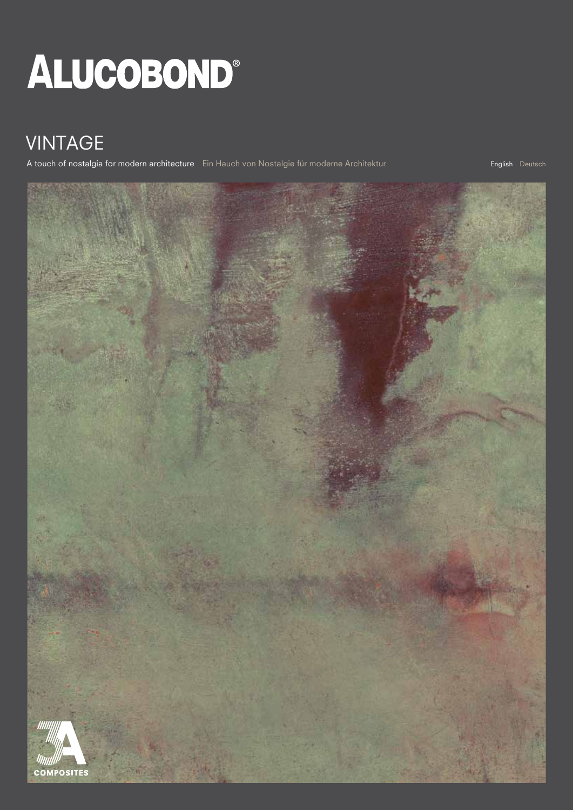# ALUCOBOND®

## VINTAGE

A touch of nostalgia for modern architecture Ein Hauch von Nostalgie für moderne Architektur English English Deutsch

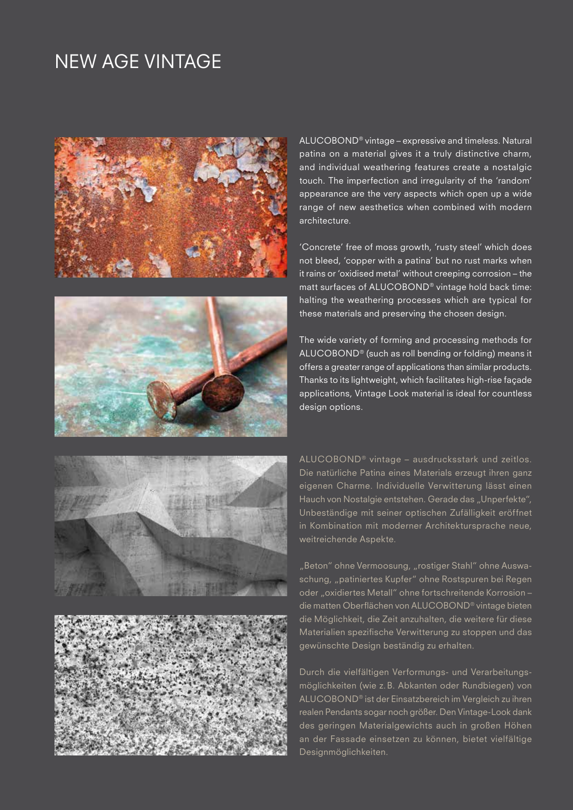### NEW AGE VINTAGE









ALUCOBOND® vintage – expressive and timeless. Natural patina on a material gives it a truly distinctive charm, and individual weathering features create a nostalgic touch. The imperfection and irregularity of the 'random' appearance are the very aspects which open up a wide range of new aesthetics when combined with modern architecture.

'Concrete' free of moss growth, 'rusty steel' which does not bleed, 'copper with a patina' but no rust marks when it rains or 'oxidised metal' without creeping corrosion – the matt surfaces of ALUCOBOND® vintage hold back time: halting the weathering processes which are typical for these materials and preserving the chosen design.

The wide variety of forming and processing methods for ALUCOBOND® (such as roll bending or folding) means it offers a greater range of applications than similar products. Thanks to its lightweight, which facilitates high-rise façade applications, Vintage Look material is ideal for countless design options.

ALUCOBOND® vintage – ausdrucksstark und zeitlos. Die natürliche Patina eines Materials erzeugt ihren ganz eigenen Charme. Individuelle Verwitterung lässt einen Hauch von Nostalgie entstehen. Gerade das "Unperfekte", Unbeständige mit seiner optischen Zufälligkeit eröffnet in Kombination mit moderner Architektursprache neue, weitreichende Aspekte.

"Beton" ohne Vermoosung, "rostiger Stahl" ohne Auswaschung, "patiniertes Kupfer" ohne Rostspuren bei Regen oder "oxidiertes Metall" ohne fortschreitende Korrosion die matten Oberflächen von ALUCOBOND® vintage bieten die Möglichkeit, die Zeit anzuhalten, die weitere für diese Materialien spezifische Verwitterung zu stoppen und das gewünschte Design beständig zu erhalten.

Durch die vielfältigen Verformungs- und Verarbeitungsmöglichkeiten (wie z.B. Abkanten oder Rundbiegen) von ALUCOBOND® ist der Einsatzbereich im Vergleich zu ihren realen Pendants sogar noch größer. Den Vintage-Look dank des geringen Materialgewichts auch in großen Höhen an der Fassade einsetzen zu können, bietet vielfältige Designmöglichkeiten.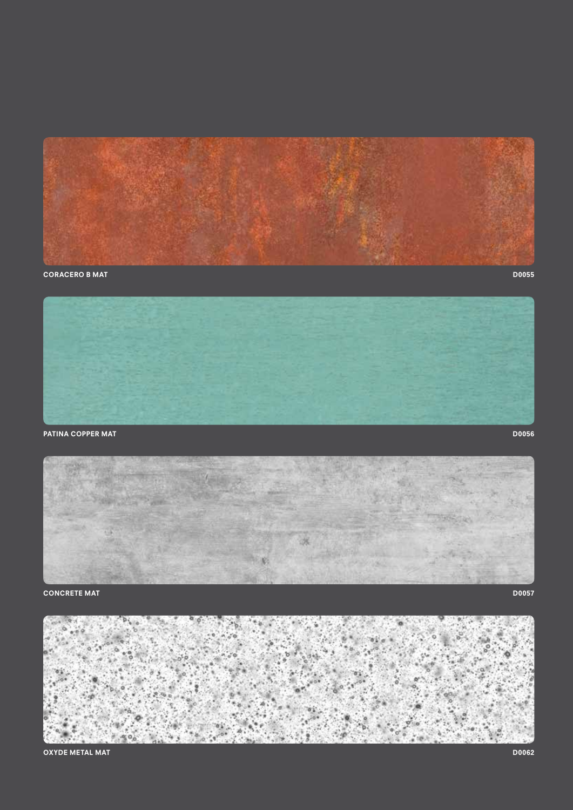







OXYDE METAL MAT D0062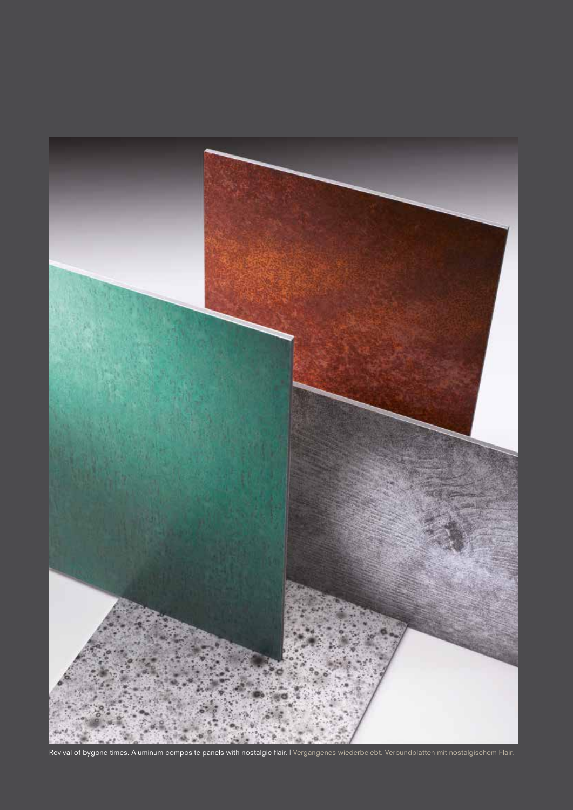

Revival of bygone times. Aluminum composite panels with nostalgic flair. | Vergangenes wiederbelebt. Verbundplatten mit nostalgischem Flair.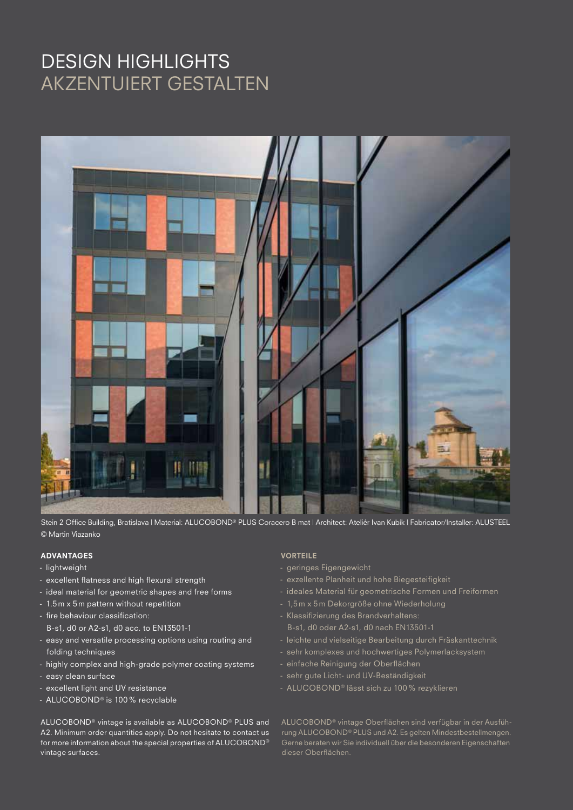## DESIGN HIGHLIGHTS AKZENTUIERT GESTALTEN



Stein 2 Office Building, Bratislava | Material: ALUCOBOND® PLUS Coracero B mat | Architect: Ateliér Ivan Kubík | Fabricator/Installer: ALUSTEEL © Martin Viazanko

#### ADVANTAGES

- lightweight
- excellent flatness and high flexural strength
- ideal material for geometric shapes and free forms
- 1.5 m x 5 m pattern without repetition
- fire behaviour classification: B-s1, d0 or A2-s1, d0 acc. to EN13501-1
- easy and versatile processing options using routing and folding techniques
- highly complex and high-grade polymer coating systems
- easy clean surface
- excellent light and UV resistance
- ALUCOBOND® is 100% recyclable

ALUCOBOND® vintage is available as ALUCOBOND® PLUS and A2. Minimum order quantities apply. Do not hesitate to contact us for more information about the special properties of ALUCOBOND® vintage surfaces.

#### VORTEILE

- geringes Eigengewicht
- exzellente Planheit und hohe Biegesteifigkeit
- ideales Material für geometrische Formen und Freiformen
- 1,5 m x 5 m Dekorgröße ohne Wiederholung
- Klassifizierung des Brandverhaltens: B-s1, d0 oder A2-s1, d0 nach EN13501-1
- leichte und vielseitige Bearbeitung durch Fräskanttechnik
- sehr komplexes und hochwertiges Polymerlacksystem
- einfache Reinigung der Oberflächen
- sehr gute Licht- und UV-Beständigkeit
- ALUCOBOND® lässt sich zu 100% rezyklieren

ALUCOBOND® vintage Oberflächen sind verfügbar in der Ausführung ALUCOBOND® PLUS und A2. Es gelten Mindestbestellmengen. Gerne beraten wir Sie individuell über die besonderen Eigenschaften